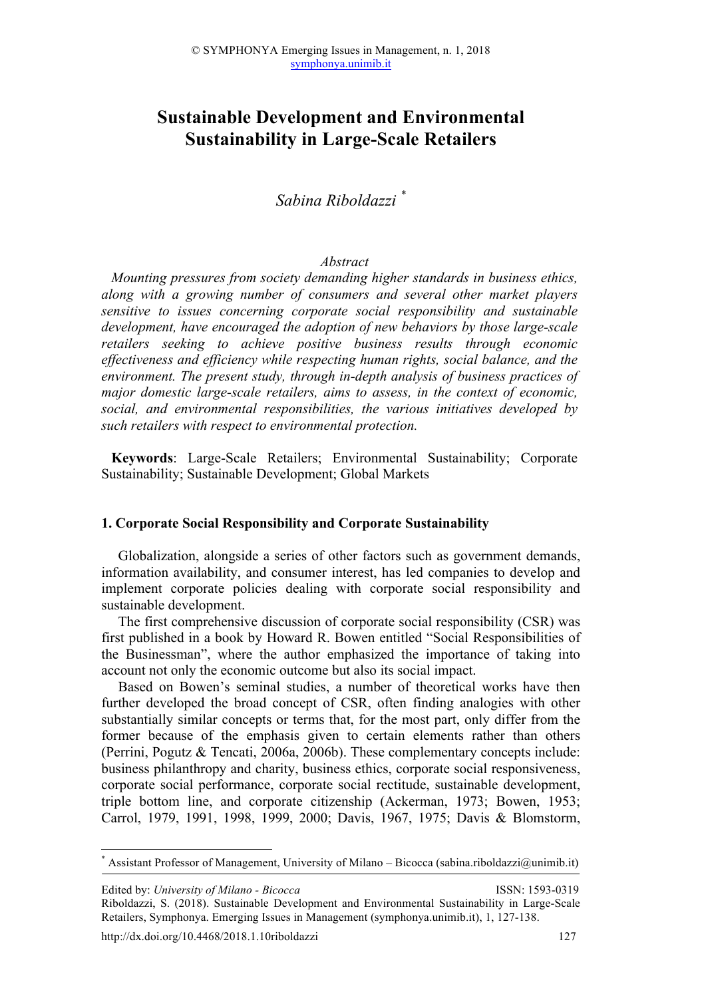# **Sustainable Development and Environmental Sustainability in Large-Scale Retailers**

*Sabina Riboldazzi \**

### *Abstract*

*Mounting pressures from society demanding higher standards in business ethics, along with a growing number of consumers and several other market players sensitive to issues concerning corporate social responsibility and sustainable development, have encouraged the adoption of new behaviors by those large-scale retailers seeking to achieve positive business results through economic effectiveness and efficiency while respecting human rights, social balance, and the environment. The present study, through in-depth analysis of business practices of major domestic large-scale retailers, aims to assess, in the context of economic, social, and environmental responsibilities, the various initiatives developed by such retailers with respect to environmental protection.*

**Keywords**: Large-Scale Retailers; Environmental Sustainability; Corporate Sustainability; Sustainable Development; Global Markets

#### **1. Corporate Social Responsibility and Corporate Sustainability**

Globalization, alongside a series of other factors such as government demands, information availability, and consumer interest, has led companies to develop and implement corporate policies dealing with corporate social responsibility and sustainable development.

The first comprehensive discussion of corporate social responsibility (CSR) was first published in a book by Howard R. Bowen entitled "Social Responsibilities of the Businessman", where the author emphasized the importance of taking into account not only the economic outcome but also its social impact.

Based on Bowen's seminal studies, a number of theoretical works have then further developed the broad concept of CSR, often finding analogies with other substantially similar concepts or terms that, for the most part, only differ from the former because of the emphasis given to certain elements rather than others (Perrini, Pogutz & Tencati, 2006a, 2006b). These complementary concepts include: business philanthropy and charity, business ethics, corporate social responsiveness, corporate social performance, corporate social rectitude, sustainable development, triple bottom line, and corporate citizenship (Ackerman, 1973; Bowen, 1953; Carrol, 1979, 1991, 1998, 1999, 2000; Davis, 1967, 1975; Davis & Blomstorm,

Assistant Professor of Management, University of Milano – Bicocca (sabina.riboldazzi@unimib.it)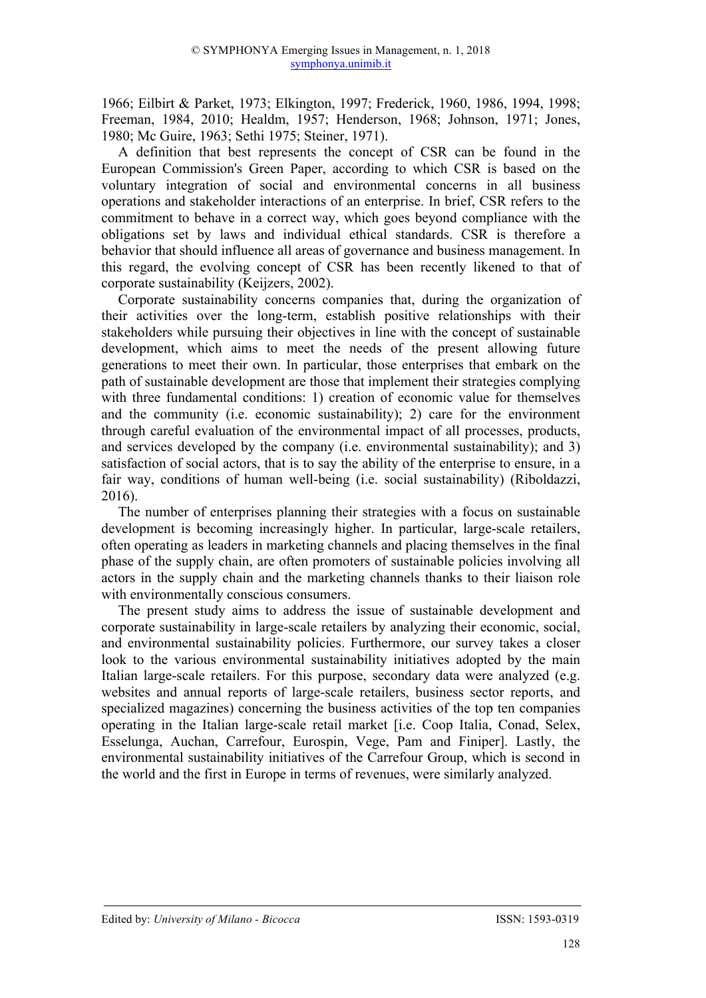1966; Eilbirt & Parket, 1973; Elkington, 1997; Frederick, 1960, 1986, 1994, 1998; Freeman, 1984, 2010; Healdm, 1957; Henderson, 1968; Johnson, 1971; Jones, 1980; Mc Guire, 1963; Sethi 1975; Steiner, 1971).

A definition that best represents the concept of CSR can be found in the European Commission's Green Paper, according to which CSR is based on the voluntary integration of social and environmental concerns in all business operations and stakeholder interactions of an enterprise. In brief, CSR refers to the commitment to behave in a correct way, which goes beyond compliance with the obligations set by laws and individual ethical standards. CSR is therefore a behavior that should influence all areas of governance and business management. In this regard, the evolving concept of CSR has been recently likened to that of corporate sustainability (Keijzers, 2002).

Corporate sustainability concerns companies that, during the organization of their activities over the long-term, establish positive relationships with their stakeholders while pursuing their objectives in line with the concept of sustainable development, which aims to meet the needs of the present allowing future generations to meet their own. In particular, those enterprises that embark on the path of sustainable development are those that implement their strategies complying with three fundamental conditions: 1) creation of economic value for themselves and the community (i.e. economic sustainability); 2) care for the environment through careful evaluation of the environmental impact of all processes, products, and services developed by the company (i.e. environmental sustainability); and 3) satisfaction of social actors, that is to say the ability of the enterprise to ensure, in a fair way, conditions of human well-being (i.e. social sustainability) (Riboldazzi, 2016).

The number of enterprises planning their strategies with a focus on sustainable development is becoming increasingly higher. In particular, large-scale retailers, often operating as leaders in marketing channels and placing themselves in the final phase of the supply chain, are often promoters of sustainable policies involving all actors in the supply chain and the marketing channels thanks to their liaison role with environmentally conscious consumers.

The present study aims to address the issue of sustainable development and corporate sustainability in large-scale retailers by analyzing their economic, social, and environmental sustainability policies. Furthermore, our survey takes a closer look to the various environmental sustainability initiatives adopted by the main Italian large-scale retailers. For this purpose, secondary data were analyzed (e.g. websites and annual reports of large-scale retailers, business sector reports, and specialized magazines) concerning the business activities of the top ten companies operating in the Italian large-scale retail market [i.e. Coop Italia, Conad, Selex, Esselunga, Auchan, Carrefour, Eurospin, Vege, Pam and Finiper]. Lastly, the environmental sustainability initiatives of the Carrefour Group, which is second in the world and the first in Europe in terms of revenues, were similarly analyzed.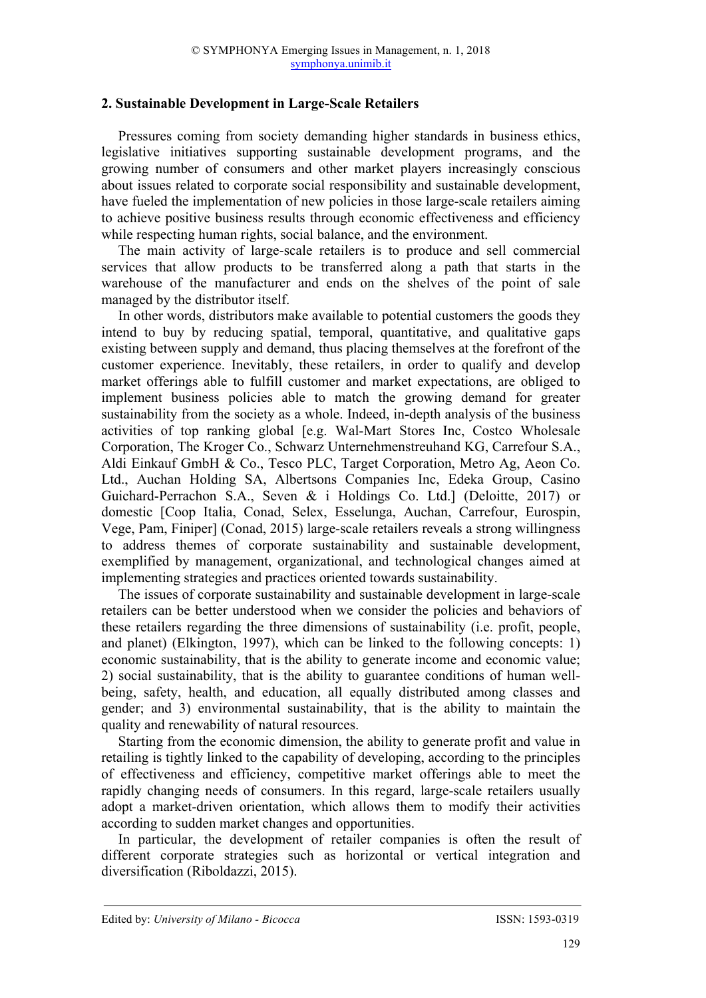## **2. Sustainable Development in Large-Scale Retailers**

Pressures coming from society demanding higher standards in business ethics, legislative initiatives supporting sustainable development programs, and the growing number of consumers and other market players increasingly conscious about issues related to corporate social responsibility and sustainable development, have fueled the implementation of new policies in those large-scale retailers aiming to achieve positive business results through economic effectiveness and efficiency while respecting human rights, social balance, and the environment.

The main activity of large-scale retailers is to produce and sell commercial services that allow products to be transferred along a path that starts in the warehouse of the manufacturer and ends on the shelves of the point of sale managed by the distributor itself.

In other words, distributors make available to potential customers the goods they intend to buy by reducing spatial, temporal, quantitative, and qualitative gaps existing between supply and demand, thus placing themselves at the forefront of the customer experience. Inevitably, these retailers, in order to qualify and develop market offerings able to fulfill customer and market expectations, are obliged to implement business policies able to match the growing demand for greater sustainability from the society as a whole. Indeed, in-depth analysis of the business activities of top ranking global [e.g. Wal-Mart Stores Inc, Costco Wholesale Corporation, The Kroger Co., Schwarz Unternehmenstreuhand KG, Carrefour S.A., Aldi Einkauf GmbH & Co., Tesco PLC, Target Corporation, Metro Ag, Aeon Co. Ltd., Auchan Holding SA, Albertsons Companies Inc, Edeka Group, Casino Guichard-Perrachon S.A., Seven & i Holdings Co. Ltd.] (Deloitte, 2017) or domestic [Coop Italia, Conad, Selex, Esselunga, Auchan, Carrefour, Eurospin, Vege, Pam, Finiper] (Conad, 2015) large-scale retailers reveals a strong willingness to address themes of corporate sustainability and sustainable development, exemplified by management, organizational, and technological changes aimed at implementing strategies and practices oriented towards sustainability.

The issues of corporate sustainability and sustainable development in large-scale retailers can be better understood when we consider the policies and behaviors of these retailers regarding the three dimensions of sustainability (i.e. profit, people, and planet) (Elkington, 1997), which can be linked to the following concepts: 1) economic sustainability, that is the ability to generate income and economic value; 2) social sustainability, that is the ability to guarantee conditions of human wellbeing, safety, health, and education, all equally distributed among classes and gender; and 3) environmental sustainability, that is the ability to maintain the quality and renewability of natural resources.

Starting from the economic dimension, the ability to generate profit and value in retailing is tightly linked to the capability of developing, according to the principles of effectiveness and efficiency, competitive market offerings able to meet the rapidly changing needs of consumers. In this regard, large-scale retailers usually adopt a market-driven orientation, which allows them to modify their activities according to sudden market changes and opportunities.

In particular, the development of retailer companies is often the result of different corporate strategies such as horizontal or vertical integration and diversification (Riboldazzi, 2015).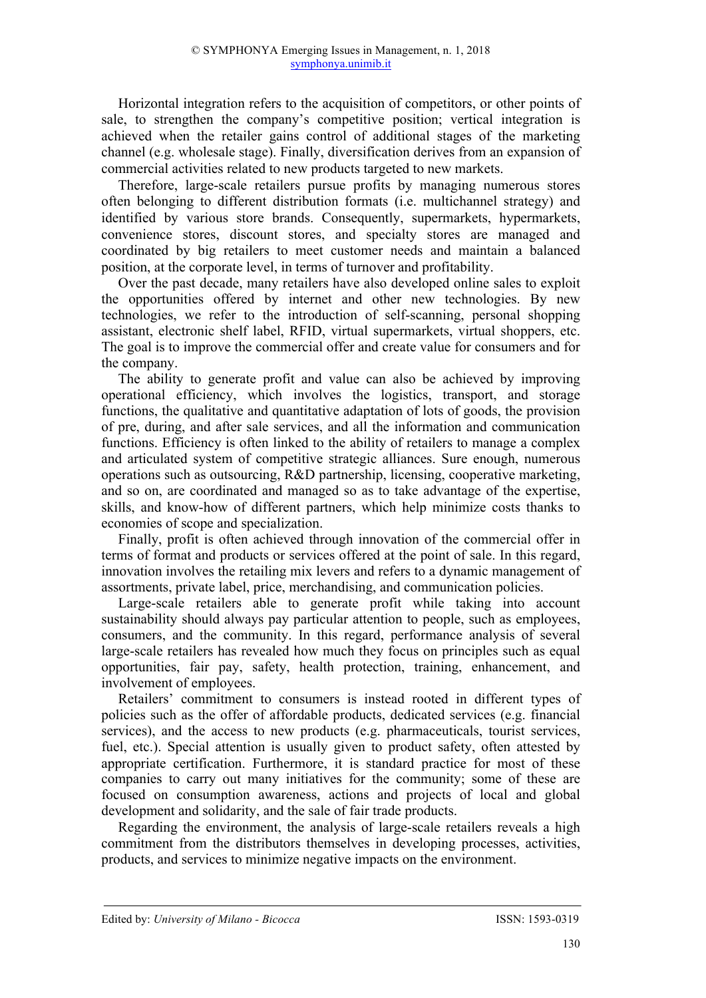Horizontal integration refers to the acquisition of competitors, or other points of sale, to strengthen the company's competitive position; vertical integration is achieved when the retailer gains control of additional stages of the marketing channel (e.g. wholesale stage). Finally, diversification derives from an expansion of commercial activities related to new products targeted to new markets.

Therefore, large-scale retailers pursue profits by managing numerous stores often belonging to different distribution formats (i.e. multichannel strategy) and identified by various store brands. Consequently, supermarkets, hypermarkets, convenience stores, discount stores, and specialty stores are managed and coordinated by big retailers to meet customer needs and maintain a balanced position, at the corporate level, in terms of turnover and profitability.

Over the past decade, many retailers have also developed online sales to exploit the opportunities offered by internet and other new technologies. By new technologies, we refer to the introduction of self-scanning, personal shopping assistant, electronic shelf label, RFID, virtual supermarkets, virtual shoppers, etc. The goal is to improve the commercial offer and create value for consumers and for the company.

The ability to generate profit and value can also be achieved by improving operational efficiency, which involves the logistics, transport, and storage functions, the qualitative and quantitative adaptation of lots of goods, the provision of pre, during, and after sale services, and all the information and communication functions. Efficiency is often linked to the ability of retailers to manage a complex and articulated system of competitive strategic alliances. Sure enough, numerous operations such as outsourcing, R&D partnership, licensing, cooperative marketing, and so on, are coordinated and managed so as to take advantage of the expertise, skills, and know-how of different partners, which help minimize costs thanks to economies of scope and specialization.

Finally, profit is often achieved through innovation of the commercial offer in terms of format and products or services offered at the point of sale. In this regard, innovation involves the retailing mix levers and refers to a dynamic management of assortments, private label, price, merchandising, and communication policies.

Large-scale retailers able to generate profit while taking into account sustainability should always pay particular attention to people, such as employees, consumers, and the community. In this regard, performance analysis of several large-scale retailers has revealed how much they focus on principles such as equal opportunities, fair pay, safety, health protection, training, enhancement, and involvement of employees.

Retailers' commitment to consumers is instead rooted in different types of policies such as the offer of affordable products, dedicated services (e.g. financial services), and the access to new products (e.g. pharmaceuticals, tourist services, fuel, etc.). Special attention is usually given to product safety, often attested by appropriate certification. Furthermore, it is standard practice for most of these companies to carry out many initiatives for the community; some of these are focused on consumption awareness, actions and projects of local and global development and solidarity, and the sale of fair trade products.

Regarding the environment, the analysis of large-scale retailers reveals a high commitment from the distributors themselves in developing processes, activities, products, and services to minimize negative impacts on the environment.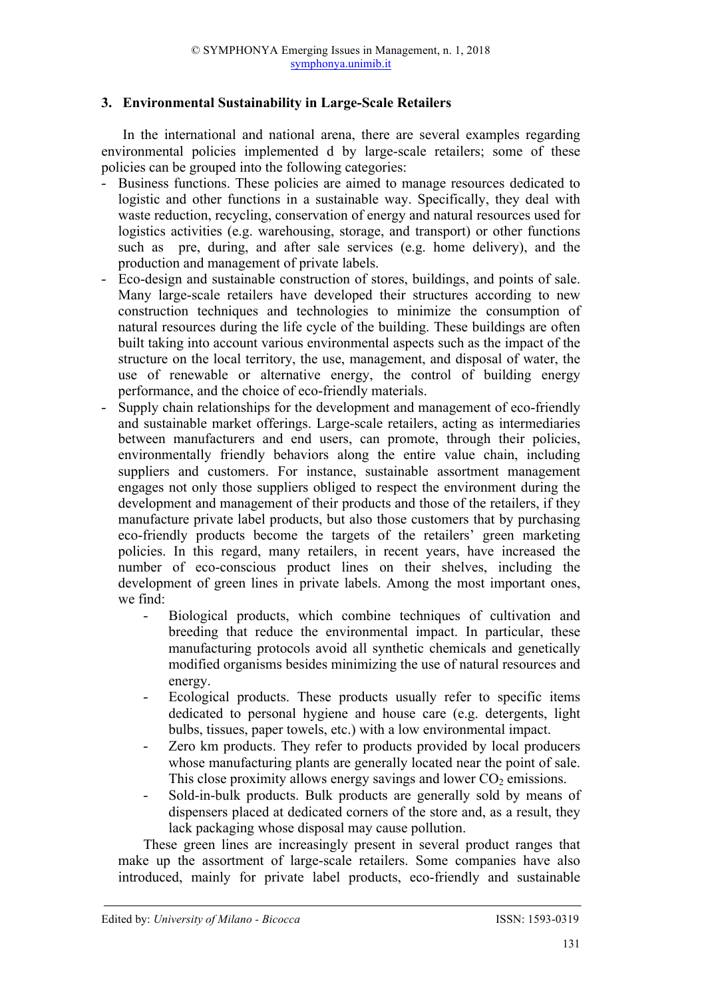## **3. Environmental Sustainability in Large-Scale Retailers**

In the international and national arena, there are several examples regarding environmental policies implemented d by large-scale retailers; some of these policies can be grouped into the following categories:

- Business functions. These policies are aimed to manage resources dedicated to logistic and other functions in a sustainable way. Specifically, they deal with waste reduction, recycling, conservation of energy and natural resources used for logistics activities (e.g. warehousing, storage, and transport) or other functions such as pre, during, and after sale services (e.g. home delivery), and the production and management of private labels.
- Eco-design and sustainable construction of stores, buildings, and points of sale. Many large-scale retailers have developed their structures according to new construction techniques and technologies to minimize the consumption of natural resources during the life cycle of the building. These buildings are often built taking into account various environmental aspects such as the impact of the structure on the local territory, the use, management, and disposal of water, the use of renewable or alternative energy, the control of building energy performance, and the choice of eco-friendly materials.
- Supply chain relationships for the development and management of eco-friendly and sustainable market offerings. Large-scale retailers, acting as intermediaries between manufacturers and end users, can promote, through their policies, environmentally friendly behaviors along the entire value chain, including suppliers and customers. For instance, sustainable assortment management engages not only those suppliers obliged to respect the environment during the development and management of their products and those of the retailers, if they manufacture private label products, but also those customers that by purchasing eco-friendly products become the targets of the retailers' green marketing policies. In this regard, many retailers, in recent years, have increased the number of eco-conscious product lines on their shelves, including the development of green lines in private labels. Among the most important ones, we find:
	- Biological products, which combine techniques of cultivation and breeding that reduce the environmental impact. In particular, these manufacturing protocols avoid all synthetic chemicals and genetically modified organisms besides minimizing the use of natural resources and energy.
	- Ecological products. These products usually refer to specific items dedicated to personal hygiene and house care (e.g. detergents, light bulbs, tissues, paper towels, etc.) with a low environmental impact.
	- Zero km products. They refer to products provided by local producers whose manufacturing plants are generally located near the point of sale. This close proximity allows energy savings and lower  $CO<sub>2</sub>$  emissions.
	- Sold-in-bulk products. Bulk products are generally sold by means of dispensers placed at dedicated corners of the store and, as a result, they lack packaging whose disposal may cause pollution.

These green lines are increasingly present in several product ranges that make up the assortment of large-scale retailers. Some companies have also introduced, mainly for private label products, eco-friendly and sustainable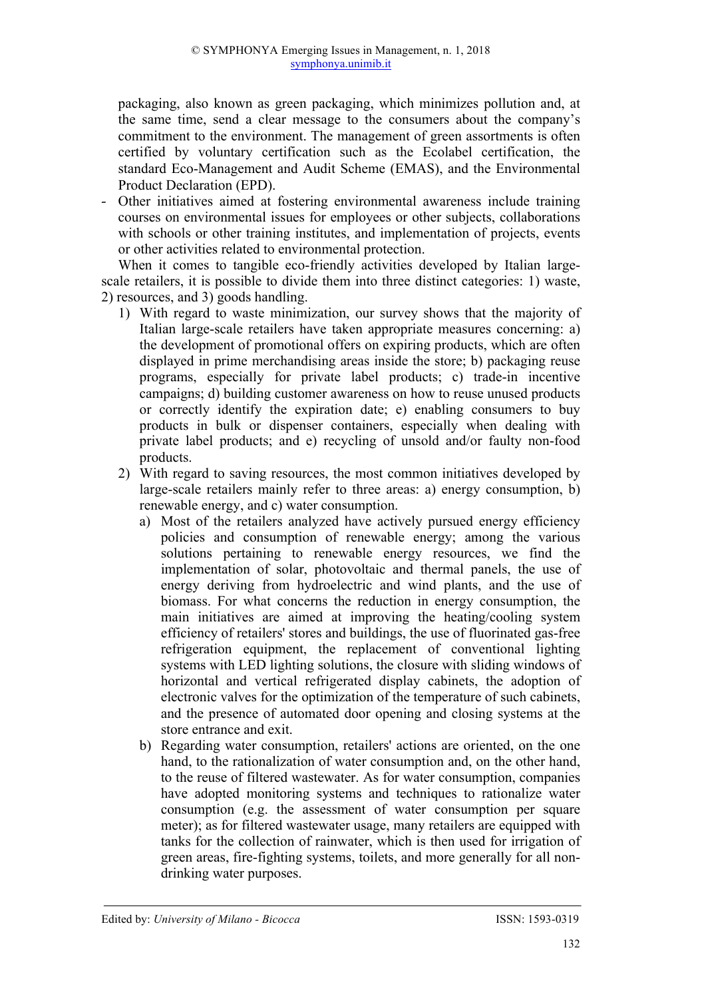packaging, also known as green packaging, which minimizes pollution and, at the same time, send a clear message to the consumers about the company's commitment to the environment. The management of green assortments is often certified by voluntary certification such as the Ecolabel certification, the standard Eco-Management and Audit Scheme (EMAS), and the Environmental Product Declaration (EPD).

- Other initiatives aimed at fostering environmental awareness include training courses on environmental issues for employees or other subjects, collaborations with schools or other training institutes, and implementation of projects, events or other activities related to environmental protection.

When it comes to tangible eco-friendly activities developed by Italian largescale retailers, it is possible to divide them into three distinct categories: 1) waste, 2) resources, and 3) goods handling.

- 1) With regard to waste minimization, our survey shows that the majority of Italian large-scale retailers have taken appropriate measures concerning: a) the development of promotional offers on expiring products, which are often displayed in prime merchandising areas inside the store; b) packaging reuse programs, especially for private label products; c) trade-in incentive campaigns; d) building customer awareness on how to reuse unused products or correctly identify the expiration date; e) enabling consumers to buy products in bulk or dispenser containers, especially when dealing with private label products; and e) recycling of unsold and/or faulty non-food products.
- 2) With regard to saving resources, the most common initiatives developed by large-scale retailers mainly refer to three areas: a) energy consumption, b) renewable energy, and c) water consumption.
	- a) Most of the retailers analyzed have actively pursued energy efficiency policies and consumption of renewable energy; among the various solutions pertaining to renewable energy resources, we find the implementation of solar, photovoltaic and thermal panels, the use of energy deriving from hydroelectric and wind plants, and the use of biomass. For what concerns the reduction in energy consumption, the main initiatives are aimed at improving the heating/cooling system efficiency of retailers' stores and buildings, the use of fluorinated gas-free refrigeration equipment, the replacement of conventional lighting systems with LED lighting solutions, the closure with sliding windows of horizontal and vertical refrigerated display cabinets, the adoption of electronic valves for the optimization of the temperature of such cabinets, and the presence of automated door opening and closing systems at the store entrance and exit.
	- b) Regarding water consumption, retailers' actions are oriented, on the one hand, to the rationalization of water consumption and, on the other hand, to the reuse of filtered wastewater. As for water consumption, companies have adopted monitoring systems and techniques to rationalize water consumption (e.g. the assessment of water consumption per square meter); as for filtered wastewater usage, many retailers are equipped with tanks for the collection of rainwater, which is then used for irrigation of green areas, fire-fighting systems, toilets, and more generally for all nondrinking water purposes.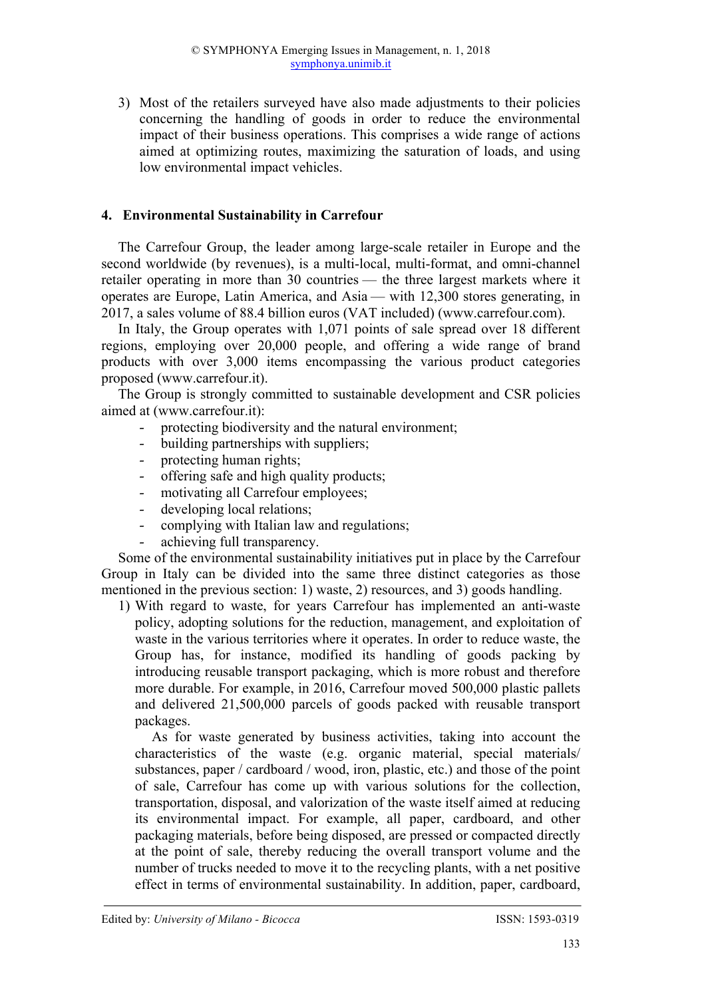3) Most of the retailers surveyed have also made adjustments to their policies concerning the handling of goods in order to reduce the environmental impact of their business operations. This comprises a wide range of actions aimed at optimizing routes, maximizing the saturation of loads, and using low environmental impact vehicles.

## **4. Environmental Sustainability in Carrefour**

The Carrefour Group, the leader among large-scale retailer in Europe and the second worldwide (by revenues), is a multi-local, multi-format, and omni-channel retailer operating in more than 30 countries — the three largest markets where it operates are Europe, Latin America, and Asia — with 12,300 stores generating, in 2017, a sales volume of 88.4 billion euros (VAT included) (www.carrefour.com).

In Italy, the Group operates with 1,071 points of sale spread over 18 different regions, employing over 20,000 people, and offering a wide range of brand products with over 3,000 items encompassing the various product categories proposed (www.carrefour.it).

The Group is strongly committed to sustainable development and CSR policies aimed at (www.carrefour.it):

- protecting biodiversity and the natural environment;
- building partnerships with suppliers;
- protecting human rights;
- offering safe and high quality products;
- motivating all Carrefour employees;
- developing local relations;
- complying with Italian law and regulations;
- achieving full transparency.

Some of the environmental sustainability initiatives put in place by the Carrefour Group in Italy can be divided into the same three distinct categories as those mentioned in the previous section: 1) waste, 2) resources, and 3) goods handling.

1) With regard to waste, for years Carrefour has implemented an anti-waste policy, adopting solutions for the reduction, management, and exploitation of waste in the various territories where it operates. In order to reduce waste, the Group has, for instance, modified its handling of goods packing by introducing reusable transport packaging, which is more robust and therefore more durable. For example, in 2016, Carrefour moved 500,000 plastic pallets and delivered 21,500,000 parcels of goods packed with reusable transport packages.

As for waste generated by business activities, taking into account the characteristics of the waste (e.g. organic material, special materials/ substances, paper / cardboard / wood, iron, plastic, etc.) and those of the point of sale, Carrefour has come up with various solutions for the collection, transportation, disposal, and valorization of the waste itself aimed at reducing its environmental impact. For example, all paper, cardboard, and other packaging materials, before being disposed, are pressed or compacted directly at the point of sale, thereby reducing the overall transport volume and the number of trucks needed to move it to the recycling plants, with a net positive effect in terms of environmental sustainability. In addition, paper, cardboard,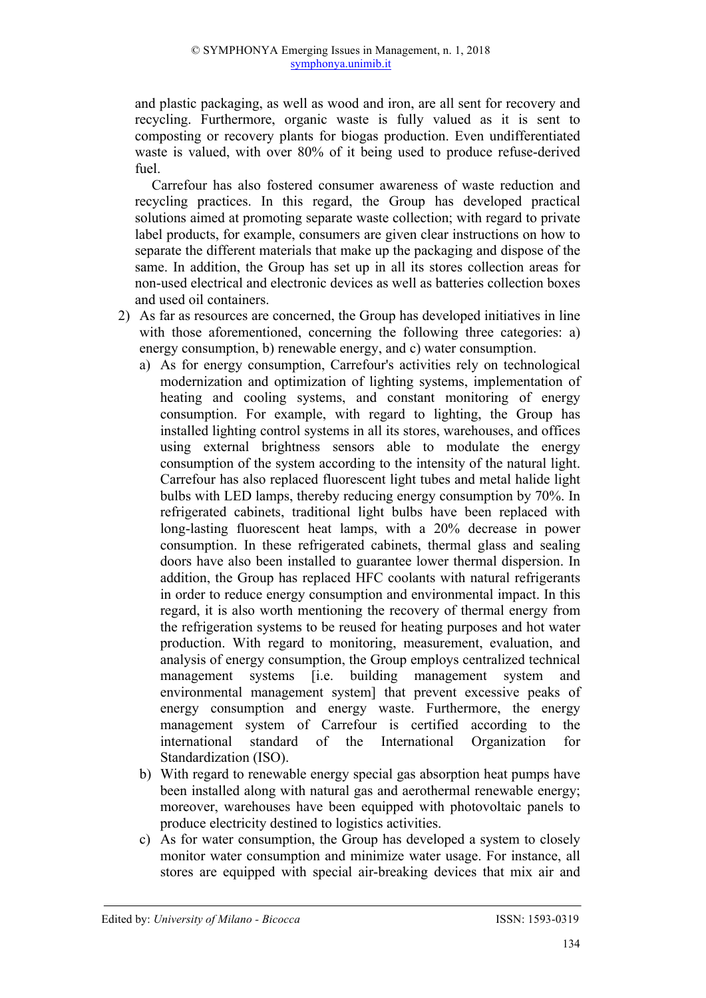and plastic packaging, as well as wood and iron, are all sent for recovery and recycling. Furthermore, organic waste is fully valued as it is sent to composting or recovery plants for biogas production. Even undifferentiated waste is valued, with over 80% of it being used to produce refuse-derived fuel.

Carrefour has also fostered consumer awareness of waste reduction and recycling practices. In this regard, the Group has developed practical solutions aimed at promoting separate waste collection; with regard to private label products, for example, consumers are given clear instructions on how to separate the different materials that make up the packaging and dispose of the same. In addition, the Group has set up in all its stores collection areas for non-used electrical and electronic devices as well as batteries collection boxes and used oil containers.

- 2) As far as resources are concerned, the Group has developed initiatives in line with those aforementioned, concerning the following three categories: a) energy consumption, b) renewable energy, and c) water consumption.
	- a) As for energy consumption, Carrefour's activities rely on technological modernization and optimization of lighting systems, implementation of heating and cooling systems, and constant monitoring of energy consumption. For example, with regard to lighting, the Group has installed lighting control systems in all its stores, warehouses, and offices using external brightness sensors able to modulate the energy consumption of the system according to the intensity of the natural light. Carrefour has also replaced fluorescent light tubes and metal halide light bulbs with LED lamps, thereby reducing energy consumption by 70%. In refrigerated cabinets, traditional light bulbs have been replaced with long-lasting fluorescent heat lamps, with a 20% decrease in power consumption. In these refrigerated cabinets, thermal glass and sealing doors have also been installed to guarantee lower thermal dispersion. In addition, the Group has replaced HFC coolants with natural refrigerants in order to reduce energy consumption and environmental impact. In this regard, it is also worth mentioning the recovery of thermal energy from the refrigeration systems to be reused for heating purposes and hot water production. With regard to monitoring, measurement, evaluation, and analysis of energy consumption, the Group employs centralized technical management systems [i.e. building management system and environmental management system] that prevent excessive peaks of energy consumption and energy waste. Furthermore, the energy management system of Carrefour is certified according to the international standard of the International Organization for Standardization (ISO).
	- b) With regard to renewable energy special gas absorption heat pumps have been installed along with natural gas and aerothermal renewable energy; moreover, warehouses have been equipped with photovoltaic panels to produce electricity destined to logistics activities.
	- c) As for water consumption, the Group has developed a system to closely monitor water consumption and minimize water usage. For instance, all stores are equipped with special air-breaking devices that mix air and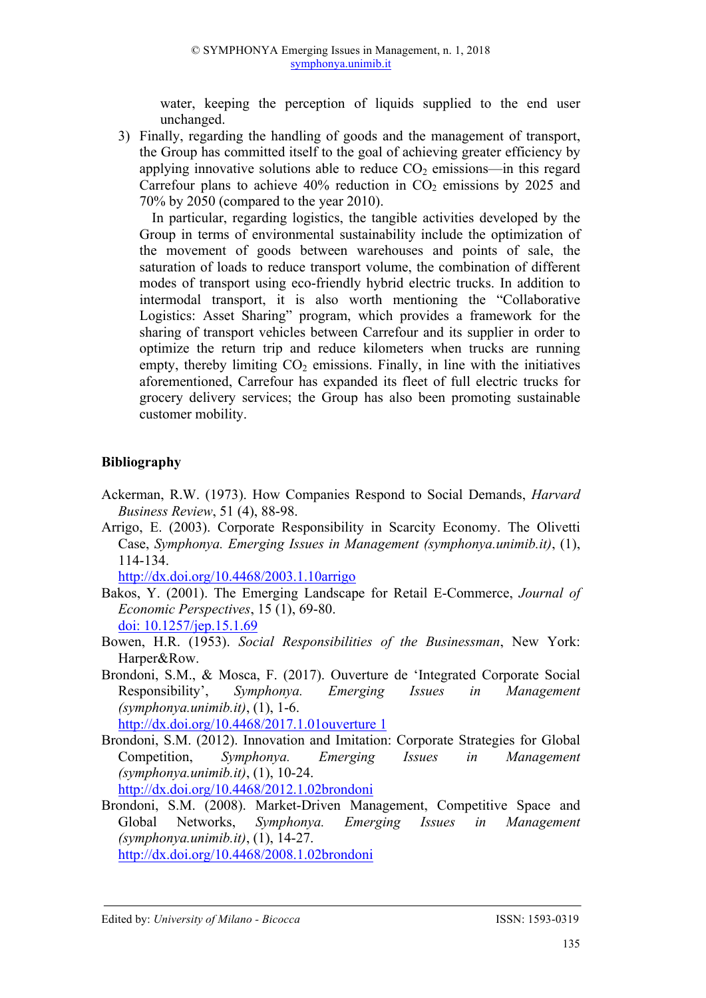water, keeping the perception of liquids supplied to the end user unchanged.

3) Finally, regarding the handling of goods and the management of transport, the Group has committed itself to the goal of achieving greater efficiency by applying innovative solutions able to reduce  $CO<sub>2</sub>$  emissions—in this regard Carrefour plans to achieve  $40\%$  reduction in  $CO<sub>2</sub>$  emissions by 2025 and 70% by 2050 (compared to the year 2010).

In particular, regarding logistics, the tangible activities developed by the Group in terms of environmental sustainability include the optimization of the movement of goods between warehouses and points of sale, the saturation of loads to reduce transport volume, the combination of different modes of transport using eco-friendly hybrid electric trucks. In addition to intermodal transport, it is also worth mentioning the "Collaborative Logistics: Asset Sharing" program, which provides a framework for the sharing of transport vehicles between Carrefour and its supplier in order to optimize the return trip and reduce kilometers when trucks are running empty, thereby limiting  $CO<sub>2</sub>$  emissions. Finally, in line with the initiatives aforementioned, Carrefour has expanded its fleet of full electric trucks for grocery delivery services; the Group has also been promoting sustainable customer mobility.

# **Bibliography**

- Ackerman, R.W. (1973). How Companies Respond to Social Demands, *Harvard Business Review*, 51 (4), 88-98.
- Arrigo, E. (2003). Corporate Responsibility in Scarcity Economy. The Olivetti Case, *Symphonya. Emerging Issues in Management (symphonya.unimib.it)*, (1), 114-134.

http://dx.doi.org/10.4468/2003.1.10arrigo

- Bakos, Y. (2001). The Emerging Landscape for Retail E-Commerce, *Journal of Economic Perspectives*, 15 (1), 69-80. doi: 10.1257/jep.15.1.69
- Bowen, H.R. (1953). *Social Responsibilities of the Businessman*, New York: Harper&Row.
- Brondoni, S.M., & Mosca, F. (2017). Ouverture de 'Integrated Corporate Social Responsibility', *Symphonya. Emerging Issues in Management (symphonya.unimib.it)*, (1), 1-6.

http://dx.doi.org/10.4468/2017.1.01ouverture 1

Brondoni, S.M. (2012). Innovation and Imitation: Corporate Strategies for Global Competition, *Symphonya. Emerging Issues in Management (symphonya.unimib.it)*, (1), 10-24.

http://dx.doi.org/10.4468/2012.1.02brondoni

Brondoni, S.M. (2008). Market-Driven Management, Competitive Space and Global Networks, *Symphonya. Emerging Issues in Management (symphonya.unimib.it)*, (1), 14-27.

http://dx.doi.org/10.4468/2008.1.02brondoni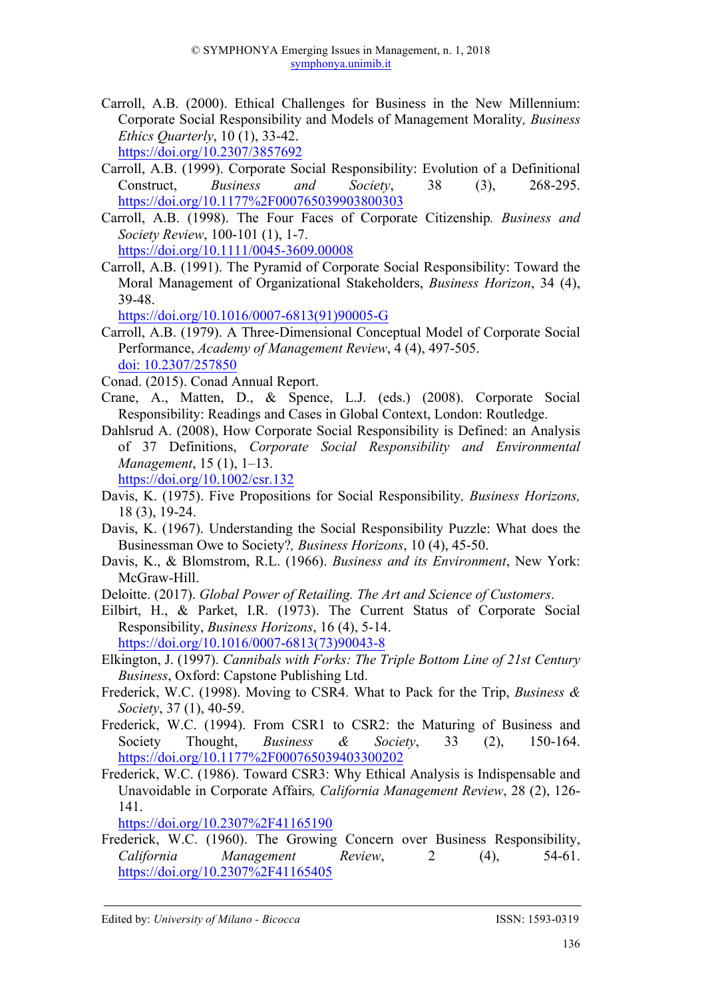Carroll, A.B. (2000). Ethical Challenges for Business in the New Millennium: Corporate Social Responsibility and Models of Management Morality*, Business Ethics Quarterly*, 10 (1), 33-42.

https://doi.org/10.2307/3857692

- Carroll, A.B. (1999). Corporate Social Responsibility: Evolution of a Definitional Construct, *Business and Society*, 38 (3), 268-295. https://doi.org/10.1177%2F000765039903800303
- Carroll, A.B. (1998). The Four Faces of Corporate Citizenship*. Business and Society Review*, 100-101 (1), 1-7.

https://doi.org/10.1111/0045-3609.00008

Carroll, A.B. (1991). The Pyramid of Corporate Social Responsibility: Toward the Moral Management of Organizational Stakeholders, *Business Horizon*, 34 (4), 39-48.

https://doi.org/10.1016/0007-6813(91)90005-G

Carroll, A.B. (1979). A Three-Dimensional Conceptual Model of Corporate Social Performance, *Academy of Management Review*, 4 (4), 497-505. doi: 10.2307/257850

Conad. (2015). Conad Annual Report.

- Crane, A., Matten, D., & Spence, L.J. (eds.) (2008). Corporate Social Responsibility: Readings and Cases in Global Context, London: Routledge.
- Dahlsrud A. (2008), How Corporate Social Responsibility is Defined: an Analysis of 37 Definitions, *Corporate Social Responsibility and Environmental Management*, 15 (1), 1–13.

https://doi.org/10.1002/csr.132

- Davis, K. (1975). Five Propositions for Social Responsibility*, Business Horizons,*  18 (3), 19-24.
- Davis, K. (1967). Understanding the Social Responsibility Puzzle: What does the Businessman Owe to Society?*, Business Horizons*, 10 (4), 45-50.
- Davis, K., & Blomstrom, R.L. (1966). *Business and its Environment*, New York: McGraw-Hill.
- Deloitte. (2017). *Global Power of Retailing. The Art and Science of Customers*.
- Eilbirt, H., & Parket, I.R. (1973). The Current Status of Corporate Social Responsibility, *Business Horizons*, 16 (4), 5-14. https://doi.org/10.1016/0007-6813(73)90043-8
- Elkington, J. (1997). *Cannibals with Forks: The Triple Bottom Line of 21st Century Business*, Oxford: Capstone Publishing Ltd.
- Frederick, W.C. (1998). Moving to CSR4. What to Pack for the Trip, *Business & Society*, 37 (1), 40-59.
- Frederick, W.C. (1994). From CSR1 to CSR2: the Maturing of Business and Society Thought, *Business & Society*, 33 (2), 150-164. https://doi.org/10.1177%2F000765039403300202
- Frederick, W.C. (1986). Toward CSR3: Why Ethical Analysis is Indispensable and Unavoidable in Corporate Affairs*, California Management Review*, 28 (2), 126- 141.

https://doi.org/10.2307%2F41165190

Frederick, W.C. (1960). The Growing Concern over Business Responsibility, *California Management Review*, 2 (4), 54-61. https://doi.org/10.2307%2F41165405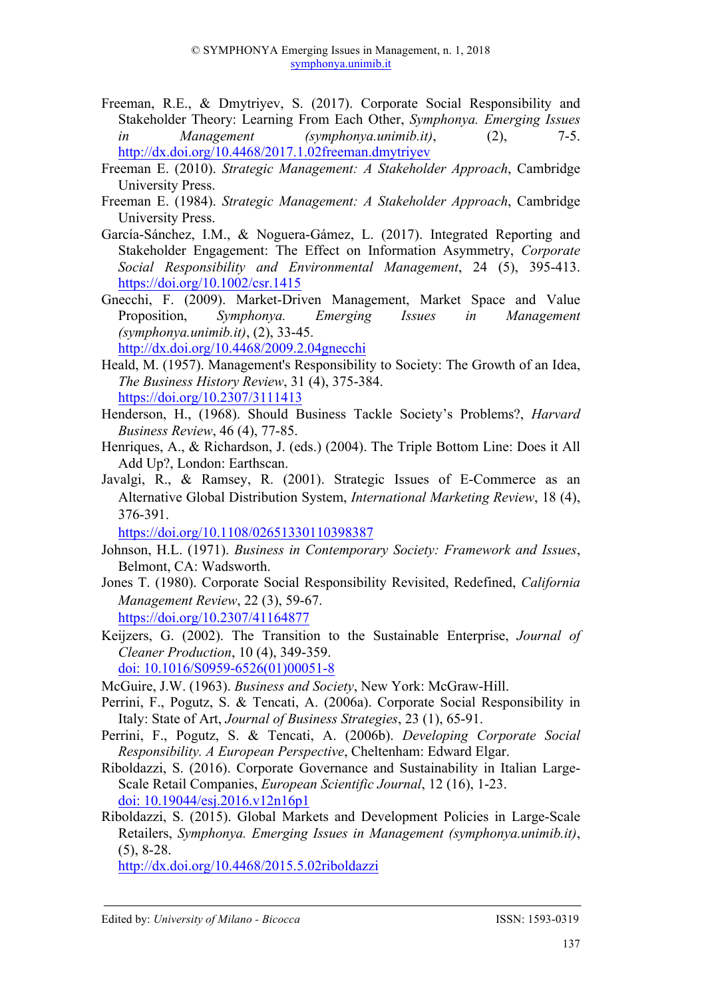- Freeman, R.E., & Dmytriyev, S. (2017). Corporate Social Responsibility and Stakeholder Theory: Learning From Each Other, *Symphonya. Emerging Issues in Management (symphonya.unimib.it)*, (2), 7-5. http://dx.doi.org/10.4468/2017.1.02freeman.dmytriyev
- Freeman E. (2010). *Strategic Management: A Stakeholder Approach*, Cambridge University Press.
- Freeman E. (1984). *Strategic Management: A Stakeholder Approach*, Cambridge University Press.
- García-Sánchez, I.M., & Noguera-Gámez, L. (2017). Integrated Reporting and Stakeholder Engagement: The Effect on Information Asymmetry, *Corporate Social Responsibility and Environmental Management*, 24 (5), 395-413. https://doi.org/10.1002/csr.1415
- Gnecchi, F. (2009). Market-Driven Management, Market Space and Value Proposition, *Symphonya. Emerging Issues in Management (symphonya.unimib.it)*, (2), 33-45.

http://dx.doi.org/10.4468/2009.2.04gnecchi

- Heald, M. (1957). Management's Responsibility to Society: The Growth of an Idea, *The Business History Review*, 31 (4), 375-384. https://doi.org/10.2307/3111413
- Henderson, H., (1968). Should Business Tackle Society's Problems?, *Harvard Business Review*, 46 (4), 77-85.
- Henriques, A., & Richardson, J. (eds.) (2004). The Triple Bottom Line: Does it All Add Up?, London: Earthscan.
- Javalgi, R., & Ramsey, R. (2001). Strategic Issues of E-Commerce as an Alternative Global Distribution System, *International Marketing Review*, 18 (4), 376-391.

https://doi.org/10.1108/02651330110398387

- Johnson, H.L. (1971). *Business in Contemporary Society: Framework and Issues*, Belmont, CA: Wadsworth.
- Jones T. (1980). Corporate Social Responsibility Revisited, Redefined, *California Management Review*, 22 (3), 59-67.
	- https://doi.org/10.2307/41164877
- Keijzers, G. (2002). The Transition to the Sustainable Enterprise, *Journal of Cleaner Production*, 10 (4), 349-359. doi: 10.1016/S0959-6526(01)00051-8

McGuire, J.W. (1963). *Business and Society*, New York: McGraw-Hill.

- Perrini, F., Pogutz, S. & Tencati, A. (2006a). Corporate Social Responsibility in Italy: State of Art, *Journal of Business Strategies*, 23 (1), 65-91.
- Perrini, F., Pogutz, S. & Tencati, A. (2006b). *Developing Corporate Social Responsibility. A European Perspective*, Cheltenham: Edward Elgar.
- Riboldazzi, S. (2016). Corporate Governance and Sustainability in Italian Large-Scale Retail Companies, *European Scientific Journal*, 12 (16), 1-23. doi: 10.19044/esj.2016.v12n16p1
- Riboldazzi, S. (2015). Global Markets and Development Policies in Large-Scale Retailers, *Symphonya. Emerging Issues in Management (symphonya.unimib.it)*, (5), 8-28.

http://dx.doi.org/10.4468/2015.5.02riboldazzi